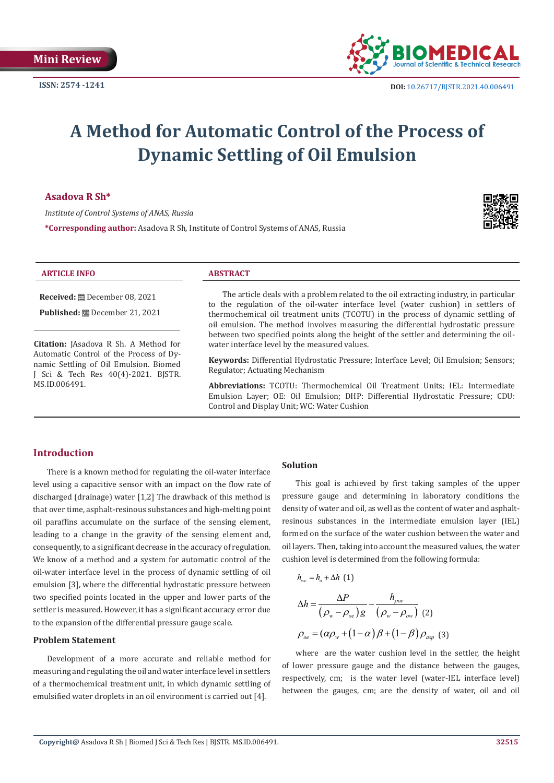

# **A Method for Automatic Control of the Process of Dynamic Settling of Oil Emulsion**

#### **Asadova R Sh\***

*Institute of Control Systems of ANAS, Russia*

**\*Corresponding author:** Asadova R Sh, Institute of Control Systems of ANAS, Russia



#### **ARTICLE INFO ABSTRACT**

**Received:** December 08, 2021

Published: **□** December 21, 2021

**Citation:** JAsadova R Sh. A Method for Automatic Control of the Process of Dynamic Settling of Oil Emulsion. Biomed J Sci & Tech Res 40(4)-2021. BJSTR. MS.ID.006491.

The article deals with a problem related to the oil extracting industry, in particular to the regulation of the oil-water interface level (water cushion) in settlers of thermochemical oil treatment units (TCOTU) in the process of dynamic settling of oil emulsion. The method involves measuring the differential hydrostatic pressure between two specified points along the height of the settler and determining the oilwater interface level by the measured values.

**Keywords:** Differential Hydrostatic Pressure; Interface Level; Oil Emulsion; Sensors; Regulator; Actuating Mechanism

**Abbreviations:** TCOTU: Thermochemical Oil Treatment Units; IEL: Intermediate Emulsion Layer; OE: Oil Emulsion; DHP: Differential Hydrostatic Pressure; CDU: Control and Display Unit; WC: Water Cushion

# **Introduction**

There is a known method for regulating the oil-water interface level using a capacitive sensor with an impact on the flow rate of discharged (drainage) water [1,2] The drawback of this method is that over time, asphalt-resinous substances and high-melting point oil paraffins accumulate on the surface of the sensing element, leading to a change in the gravity of the sensing element and, consequently, to a significant decrease in the accuracy of regulation. We know of a method and a system for automatic control of the oil-water interface level in the process of dynamic settling of oil emulsion [3], where the differential hydrostatic pressure between two specified points located in the upper and lower parts of the settler is measured. However, it has a significant accuracy error due to the expansion of the differential pressure gauge scale.

#### **Problem Statement**

Development of a more accurate and reliable method for measuring and regulating the oil and water interface level in settlers of a thermochemical treatment unit, in which dynamic settling of emulsified water droplets in an oil environment is carried out [4].

### **Solution**

 $h = h + \Delta h$  (1)

This goal is achieved by first taking samples of the upper pressure gauge and determining in laboratory conditions the density of water and oil, as well as the content of water and asphaltresinous substances in the intermediate emulsion layer (IEL) formed on the surface of the water cushion between the water and oil layers. Then, taking into account the measured values, the water cushion level is determined from the following formula:

$$
\Delta h = \frac{\Delta P}{(\rho_w - \rho_{oe})g} - \frac{h_{\rhooe}}{(\rho_w - \rho_{ov})} \tag{2}
$$

$$
\rho_{oe} = (\alpha \rho_w + (1 - \alpha) \beta + (1 - \beta) \rho_{\alpha sp} \tag{3}
$$

where are the water cushion level in the settler, the height of lower pressure gauge and the distance between the gauges, respectively, cm; is the water level (water-IEL interface level) between the gauges, cm; are the density of water, oil and oil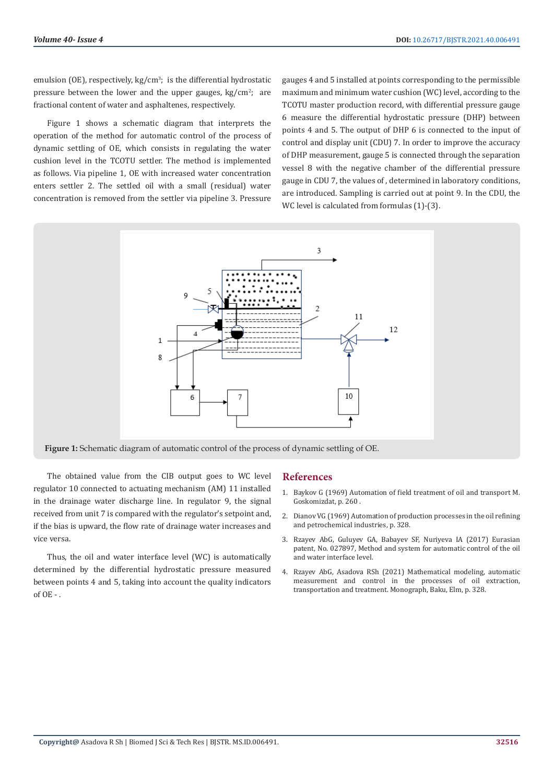emulsion (OE), respectively, kg/cm<sup>3</sup>; is the differential hydrostatic pressure between the lower and the upper gauges,  $kg/cm<sup>2</sup>$ ; are fractional content of water and asphaltenes, respectively.

Figure 1 shows a schematic diagram that interprets the operation of the method for automatic control of the process of dynamic settling of OE, which consists in regulating the water cushion level in the TCOTU settler. The method is implemented as follows. Via pipeline 1, OE with increased water concentration enters settler 2. The settled oil with a small (residual) water concentration is removed from the settler via pipeline 3. Pressure

gauges 4 and 5 installed at points corresponding to the permissible maximum and minimum water cushion (WC) level, according to the TCOTU master production record, with differential pressure gauge 6 measure the differential hydrostatic pressure (DHP) between points 4 and 5. The output of DHP 6 is connected to the input of control and display unit (CDU) 7. In order to improve the accuracy of DHP measurement, gauge 5 is connected through the separation vessel 8 with the negative chamber of the differential pressure gauge in CDU 7, the values of , determined in laboratory conditions, are introduced. Sampling is carried out at point 9. In the CDU, the WC level is calculated from formulas (1)-(3).



**Figure 1:** Schematic diagram of automatic control of the process of dynamic settling of OE.

The obtained value from the CIB output goes to WC level regulator 10 connected to actuating mechanism (AM) 11 installed in the drainage water discharge line. In regulator 9, the signal received from unit 7 is compared with the regulator's setpoint and, if the bias is upward, the flow rate of drainage water increases and vice versa.

Thus, the oil and water interface level (WC) is automatically determined by the differential hydrostatic pressure measured between points 4 and 5, taking into account the quality indicators of OE - .

#### **References**

- 1. Baykov G (1969) Automation of field treatment of oil and transport M. Goskomizdat, p. 260 .
- 2. Dianov VG (1969) Automation of production processes in the oil refining and petrochemical industries, p. 328.
- 3. Rzayev AbG, Guluyev GA, Babayev SF, Nuriyeva IA (2017) Eurasian patent, No. 027897, Method and system for automatic control of the oil and water interface level.
- 4. Rzayev AbG, Asadova RSh (2021) Mathematical modeling, automatic measurement and control in the processes of oil extraction, transportation and treatment. Monograph, Baku, Elm, p. 328.